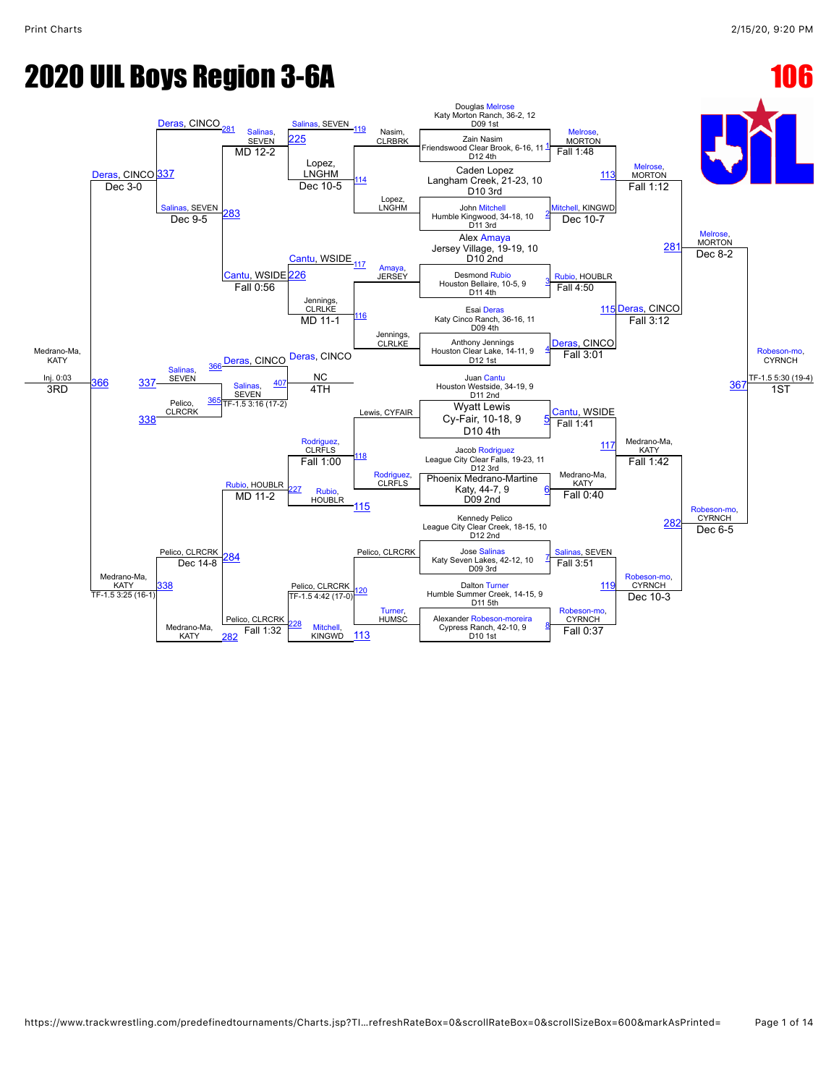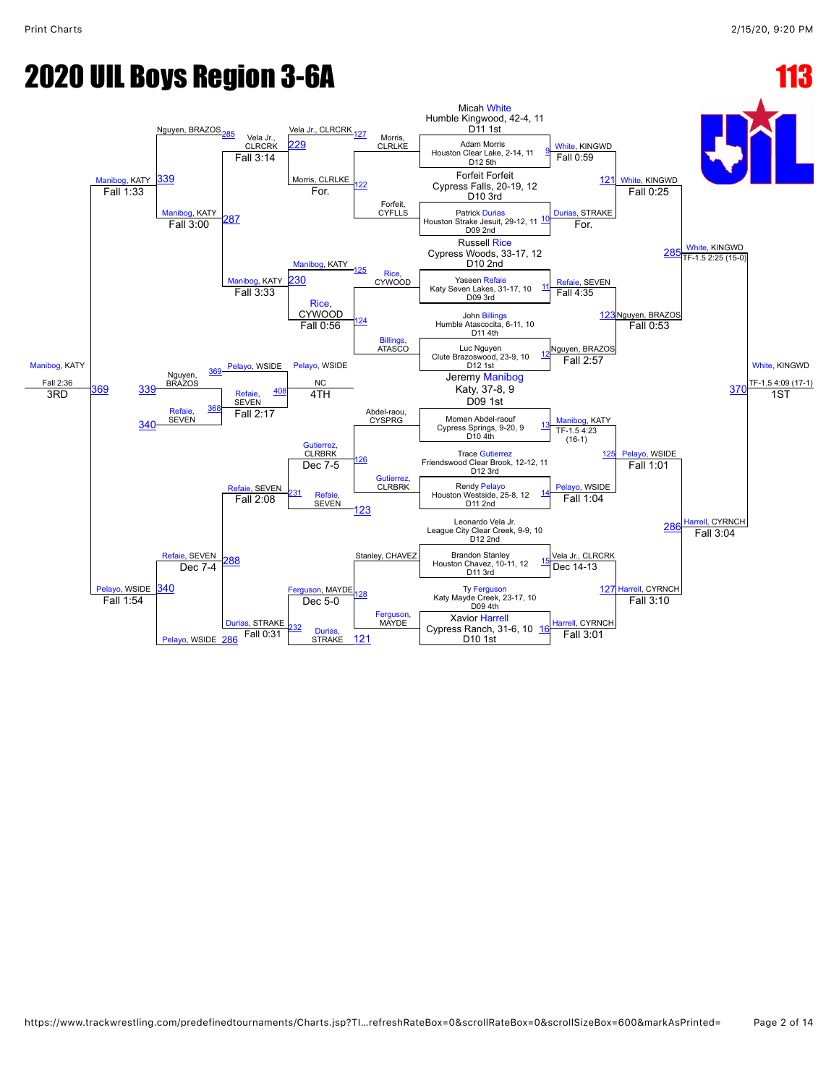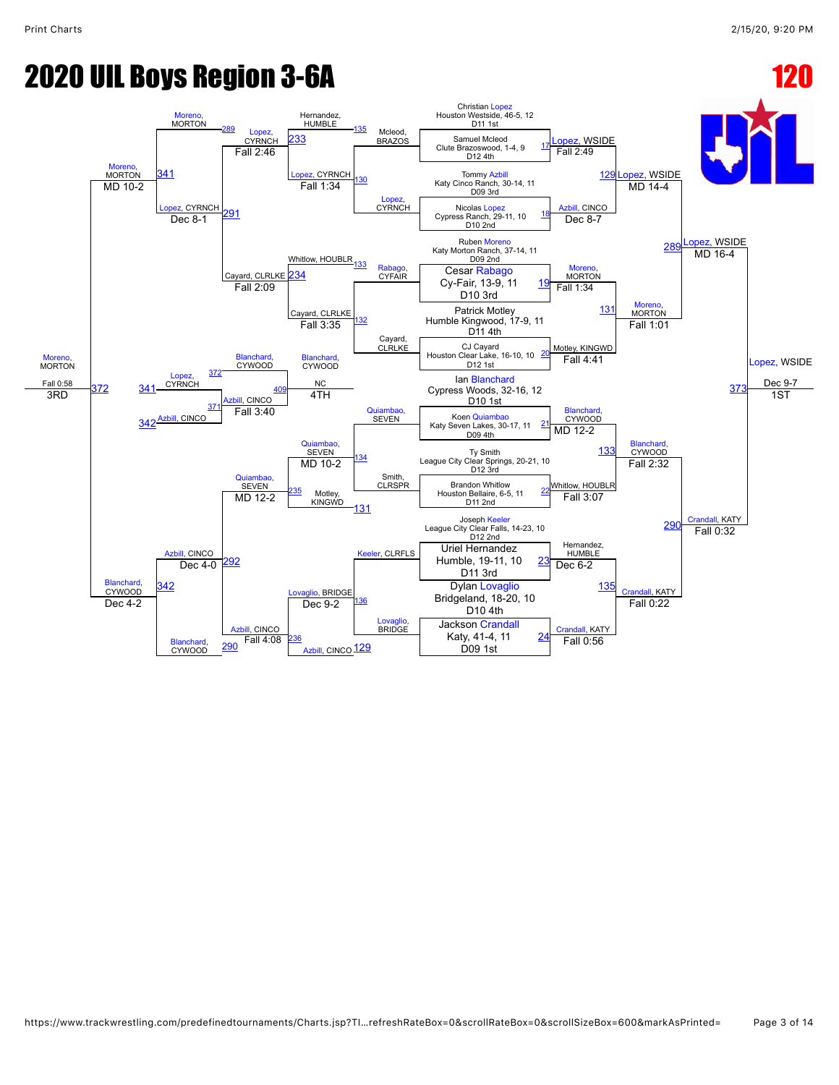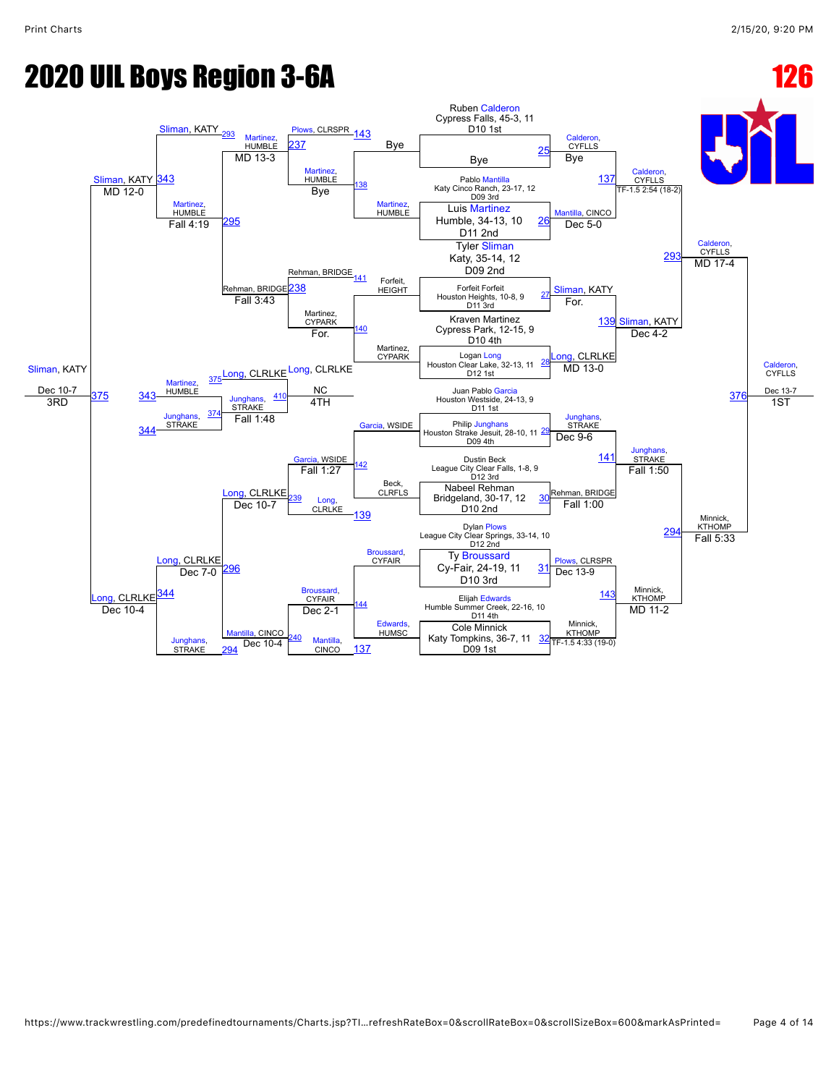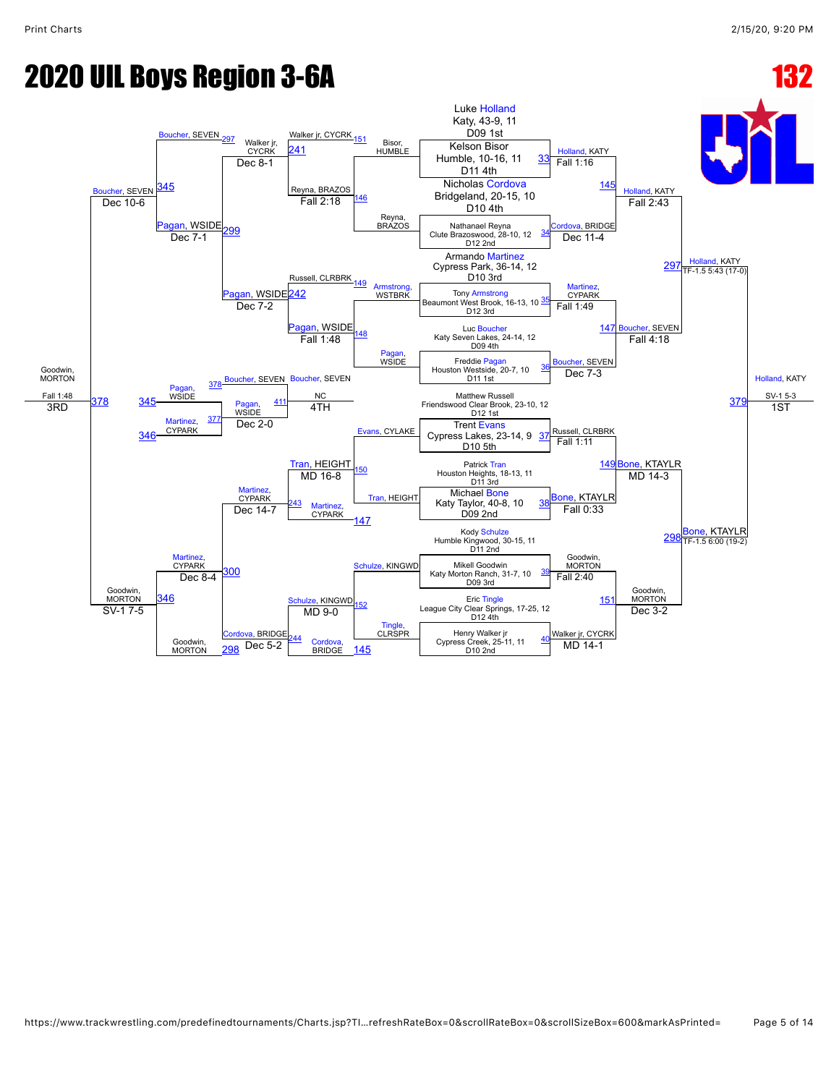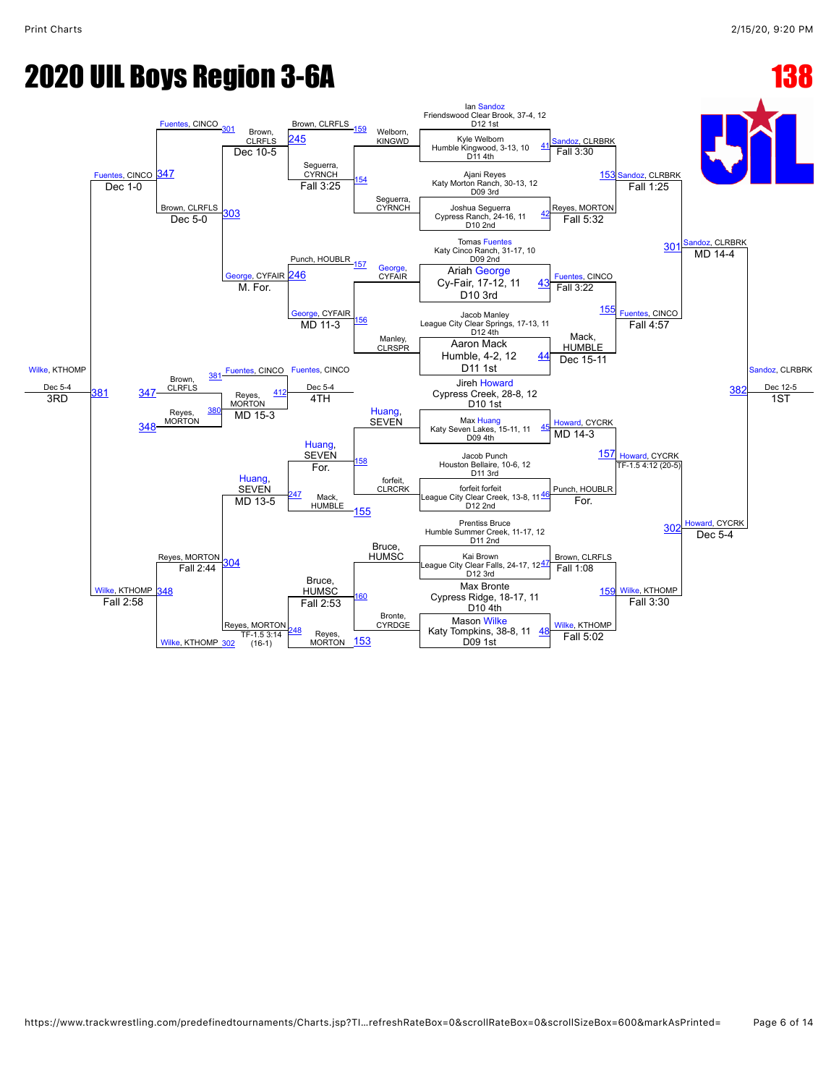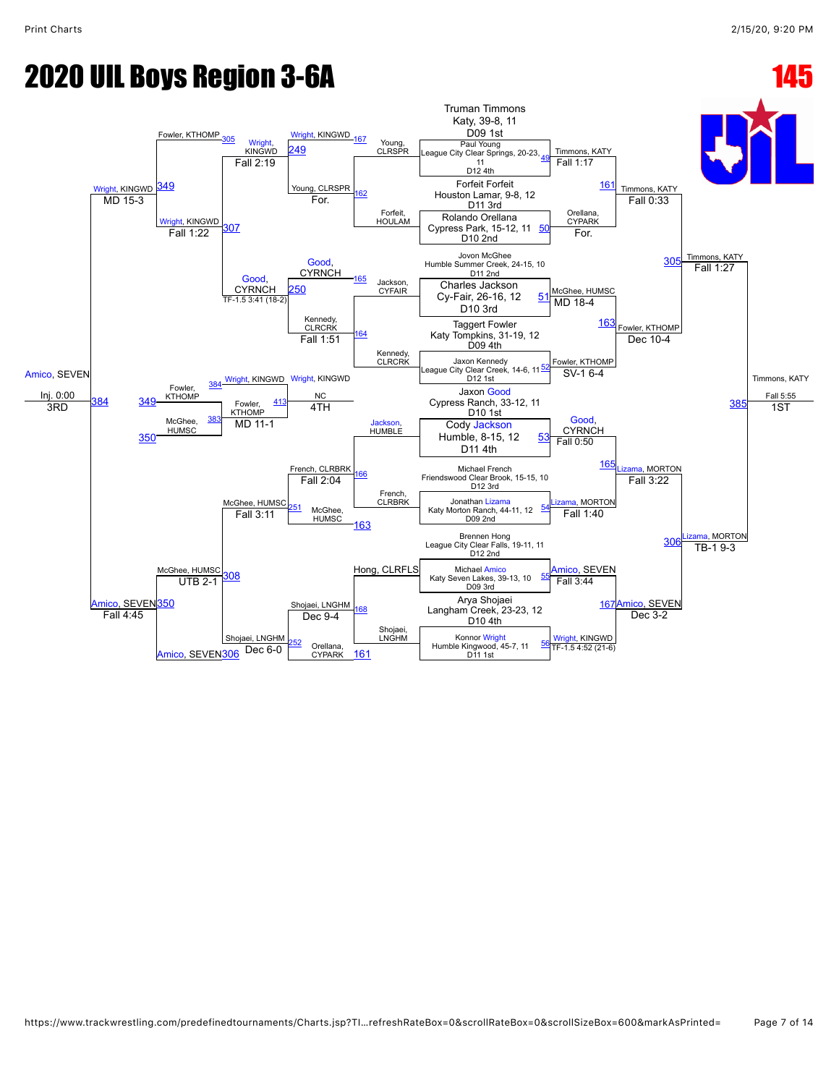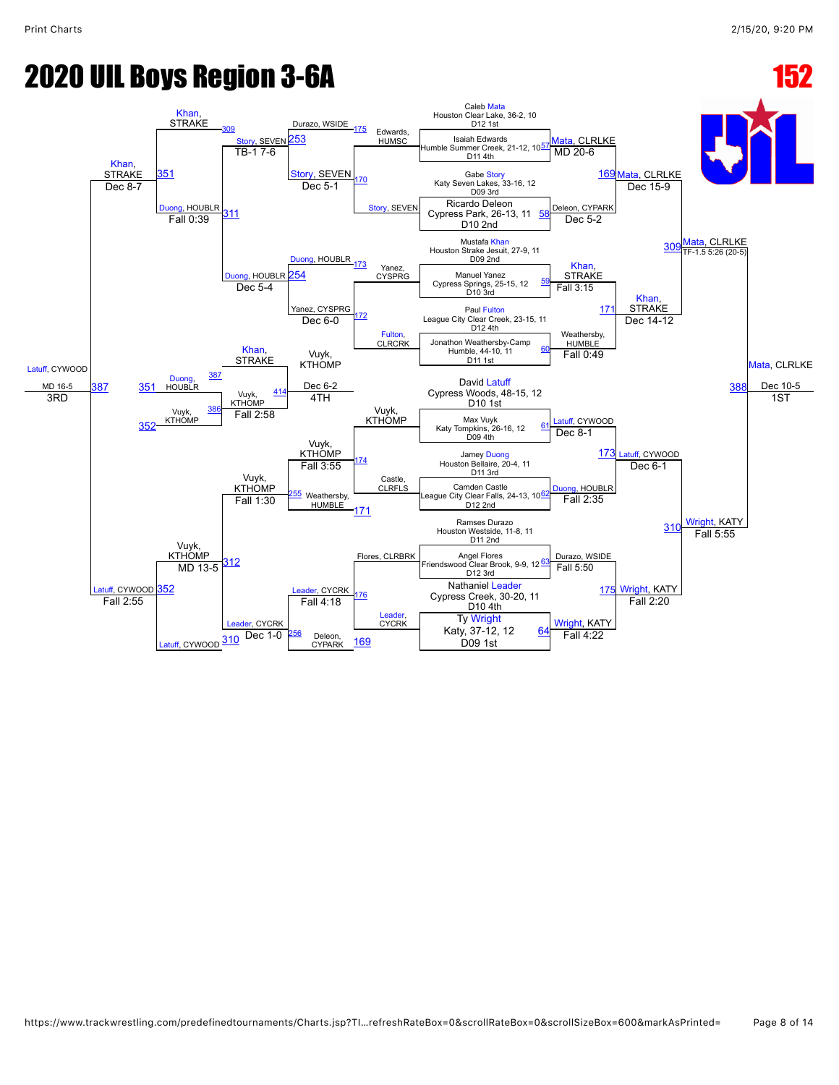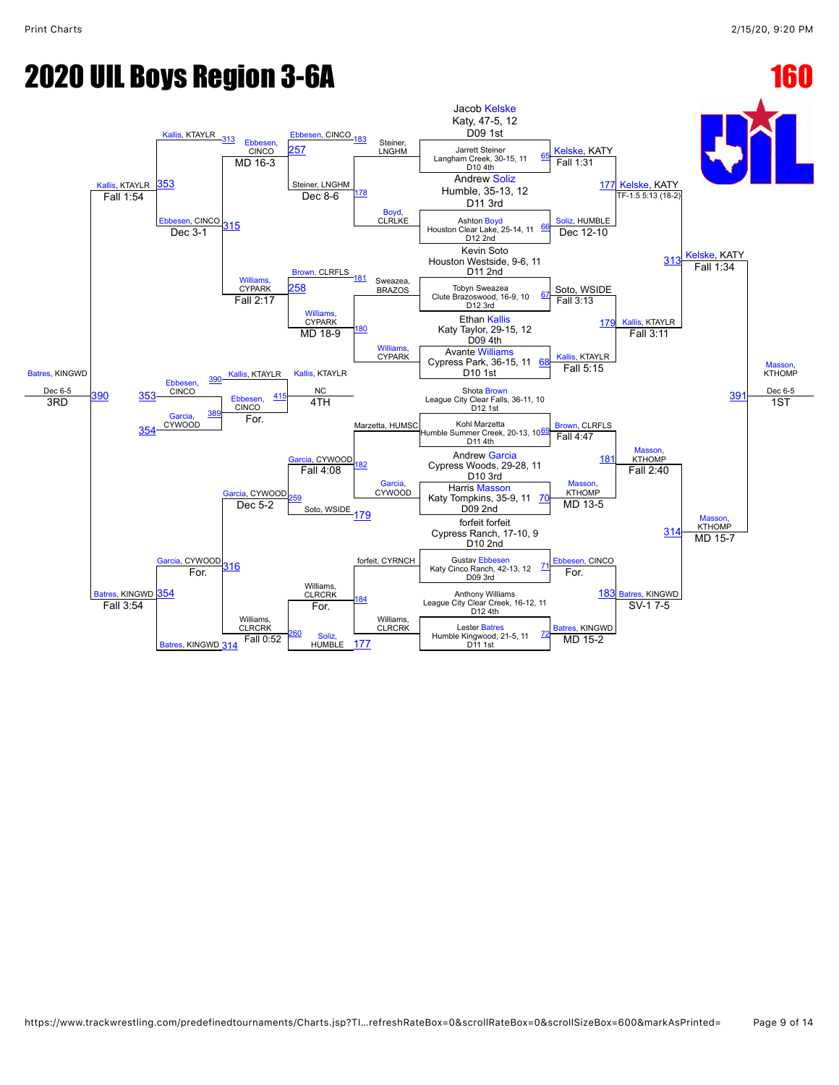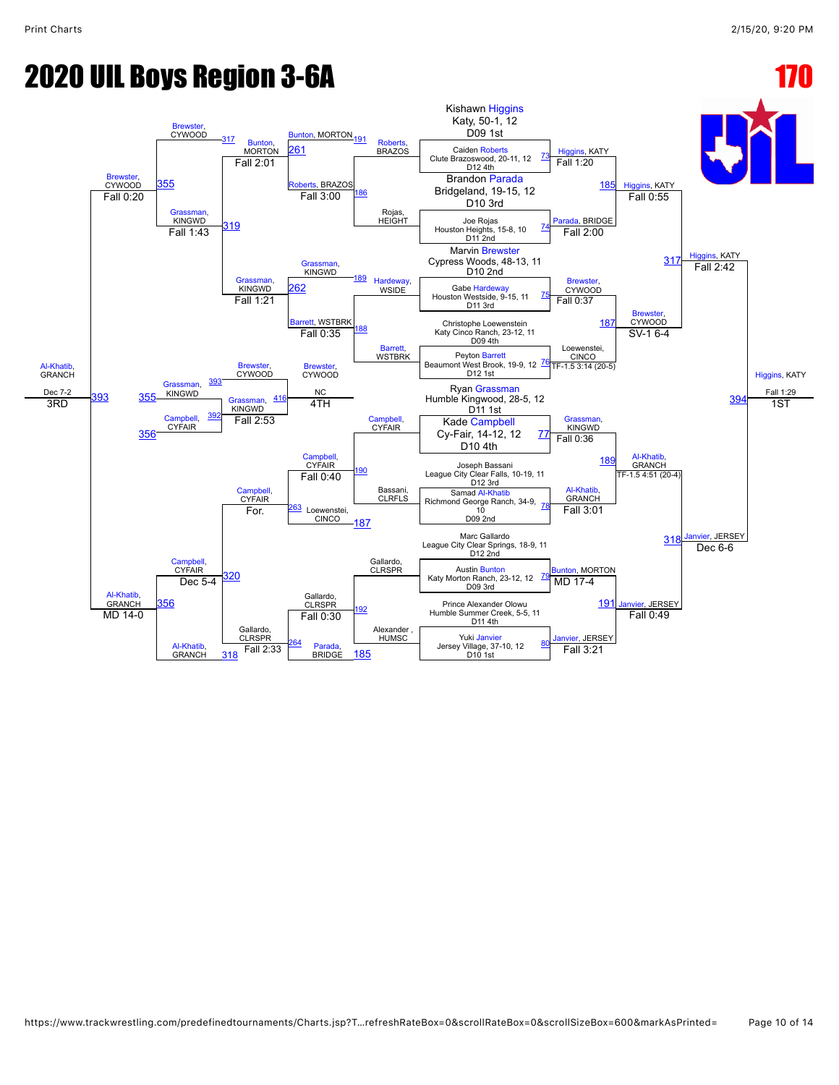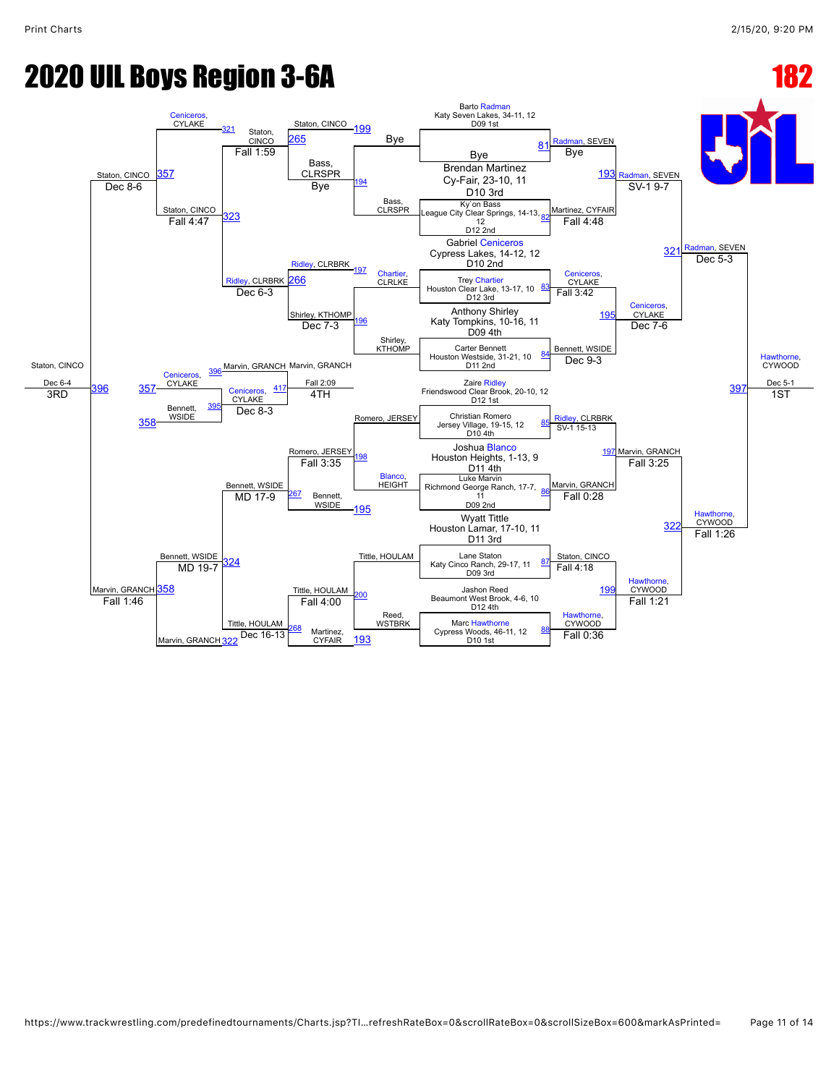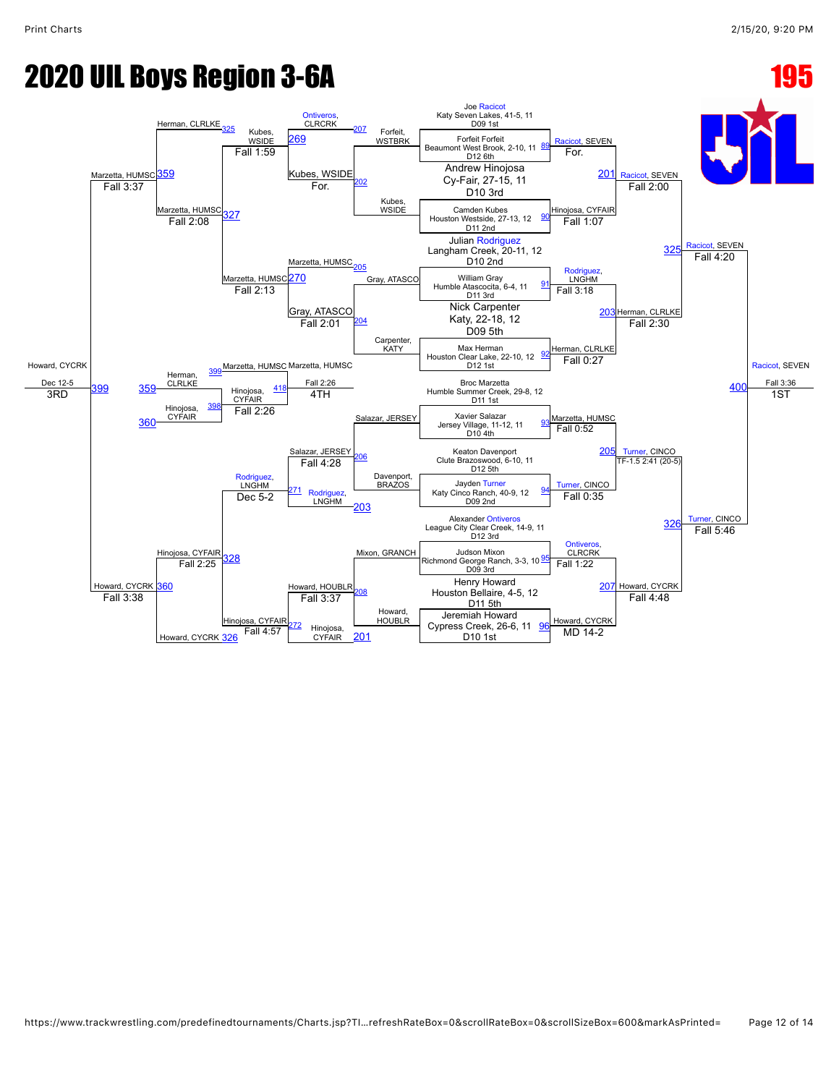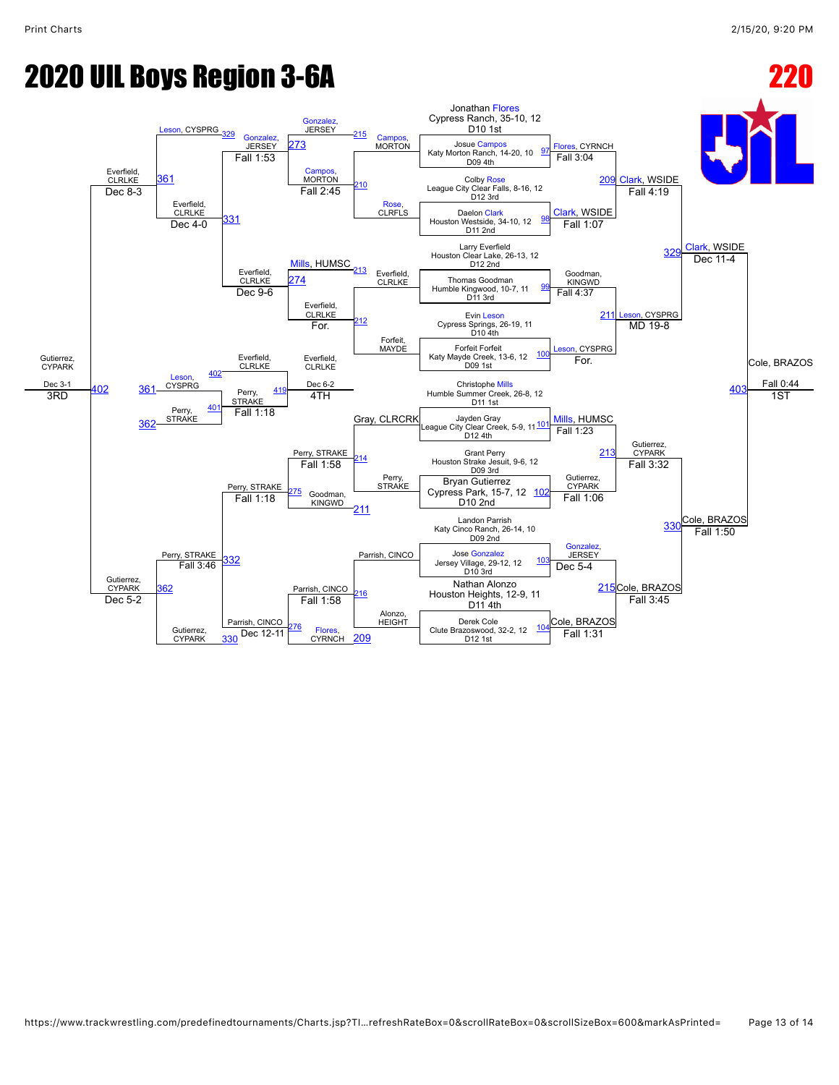